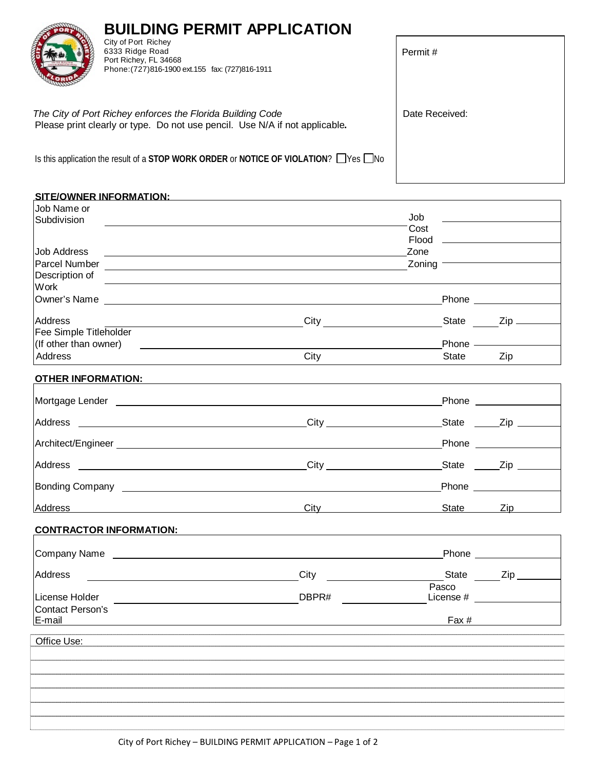| <b>BUILDING PERMIT APPLICATION</b>                                                                                                        |                |
|-------------------------------------------------------------------------------------------------------------------------------------------|----------------|
| City of Port Richey<br>6333 Ridge Road<br>Port Richey, FL 34668<br>Phone: (727) 816-1900 ext. 155 fax: (727) 816-1911                     | Permit #       |
| The City of Port Richey enforces the Florida Building Code<br>Please print clearly or type. Do not use pencil. Use N/A if not applicable. | Date Received: |
| Is this application the result of a STOP WORK ORDER or NOTICE OF VIOLATION? $\Box$ Yes $\Box$ No                                          |                |

| SITE/OWNER INFORMATION:       |      |              |     |
|-------------------------------|------|--------------|-----|
| Job Name or<br>Subdivision    |      | Job<br>Cost  |     |
|                               |      | Flood        |     |
| Job Address                   |      | Zone         |     |
| Parcel Number                 |      | Zoning       |     |
| Description of                |      |              |     |
| Work                          |      |              |     |
| Owner's Name                  |      | Phone        |     |
| Address                       | City | <b>State</b> | Zip |
| <b>Fee Simple Titleholder</b> |      |              |     |
| (If other than owner)         |      | Phone        |     |
| Address                       | City | <b>State</b> | Zip |
|                               |      |              |     |

## **OTHER INFORMATION:**

| Mortgage Lender<br><u> 1980 - Andrea Andrew Maria (h. 1980).</u> |               | Phone ______________   |     |
|------------------------------------------------------------------|---------------|------------------------|-----|
|                                                                  | $\text{City}$ | State Zip              |     |
| Architect/Engineer                                               |               | Phone ____________     |     |
|                                                                  |               | State ______Zip ______ |     |
|                                                                  |               | Phone _____________    |     |
| Address                                                          | City          | <b>State</b>           | Zip |

## **CONTRACTOR INFORMATION:**

| Company Name               |       | Phone              |
|----------------------------|-------|--------------------|
| Address                    | City  | State<br>Zip       |
| License Holder             | DBPR# | Pasco<br>License # |
| Contact Person's<br>E-mail |       | Fax #              |

<u> 1989 - Johann Barn, mars ann an t-Amhain Aonaich an t-Aonaich an t-Aonaich ann an t-Aonaich ann an t-Aonaich</u>

Office Use: